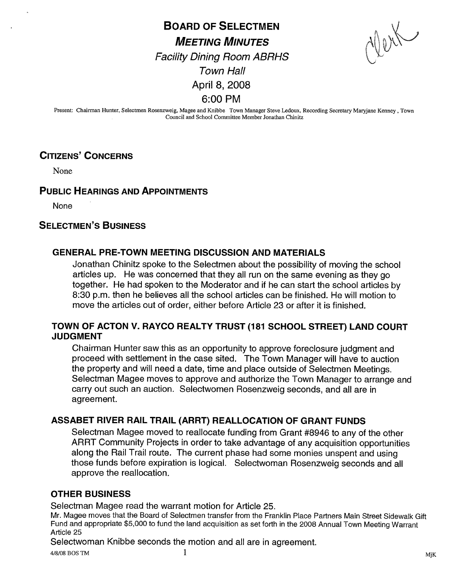BOARD OF SELECTMEN **MEETING MINUTES**  $\bigwedge_{i=1}^{\infty} \bigotimes_{i=1}^{\infty} \bigotimes_{i=1}^{\infty} \bigotimes_{j=1}^{\infty} \bigotimes_{j=1}^{\infty}$ Facility Dining Room ABRHS Town Hall April 8, 2008 6:00 PM

Present: Chairman Hunter, Selectmen Rosenzweig, Magee and Knibbe Town Manager Steve Ledoux, Recording Secretary Maryjane Kenney , Town Council and School Comwittee Member Jonathan Chinitz

# CITIZENS' CONCERNS

None

## PUBLIC HEARINGS AND APPOINTMENTS

None

## SELECTMEN'S BUSINESS

## GENERAL PRE-TOWN MEETING DISCUSSION AND MATERIALS

Jonathan Chinitz spoke to the Selectmen about the possibility of moving the school articles up. He was concerned that they all run on the same evening as they go together. He had spoken to the Moderator and if he can start the school articles by 8:30 p.m. then he believes all the school articles can be finished. He will motion to move the articles out of order, either before Article 23 or after it is finished.

#### TOWN OF ACTON V. RAYCO REALTY TRUST (181 SCHOOL STREET) LAND COURT JUDGMENT

Chairman Hunter saw this as an opportunity to approve foreclosure judgment and proceed with settlement in the case sited. The Town Manager will have to auction the property and will need a date, time and place outside of Selectmen Meetings. Selectman Magee moves to approve and authorize the Town Manager to arrange and carry out such an auction. Selectwomen Rosenzweig seconds, and all are in agreement.

## ASSABET RIVER RAIL TRAIL (ARRT) REALLOCATION OF GRANT FUNDS

Selectman Magee moved to reallocate funding from Grant #8946 to any of the other ARRT Community Projects in order to take advantage of any acquisition opportunities along the Rail Trail route. The current phase had some monies unspent and using those funds before expiration is logical. Selectwoman Rosenzweig seconds and all approve the reallocation.

#### OTHER BUSINESS

Selectman Magee read the warrant motion for Article 25.

Mr. Magee moves that the Board of Selectmen transfer from the Franklin Place Partners Main Street Sidewalk Gift Fund and appropriate \$5,000 to fund the land acquisition as set forth in the 2008 Annual Town Meeting Warrant Article 25

Selectwoman Knibbe seconds the motion and all are in agreement.

4/8/08 BOS TM and  $1$  methods of  $1$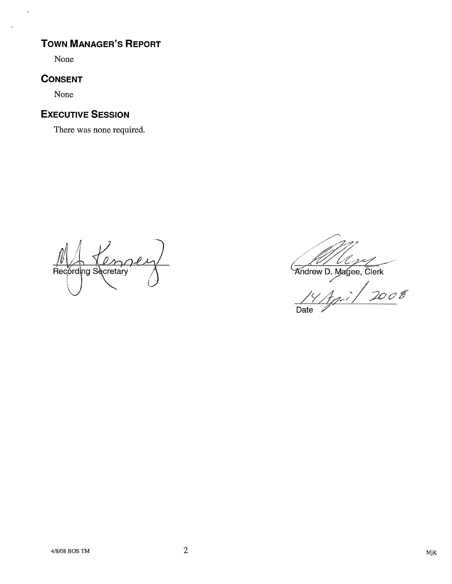# TOWN MANAGER'S REPORT

None

 $\overline{a}$ 

# **CONSENT**

None

# EXECUTIVE SESSION

There was none required.

 $\angle$ Recording Secretary  $\frac{10}{200}$ <br>Recording Secretary  $\frac{100000}{2000}$ U

Date